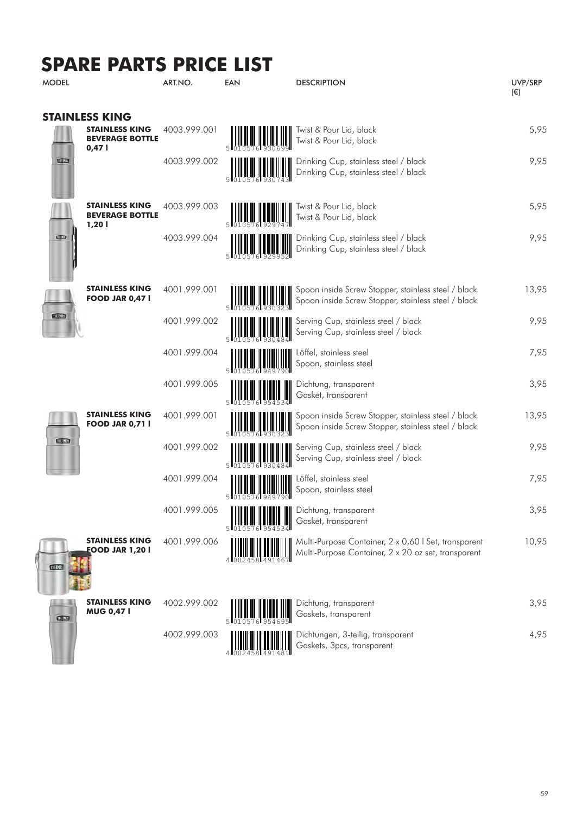## **SPARE PARTS PRICE LIST**

| <b>MODEL</b>                                                      | ART.NO.      | EAN | <b>DESCRIPTION</b>                                                                                                                                                                                                                                          | UVP/SRP<br>$(\epsilon)$ |
|-------------------------------------------------------------------|--------------|-----|-------------------------------------------------------------------------------------------------------------------------------------------------------------------------------------------------------------------------------------------------------------|-------------------------|
| <b>STAINLESS KING</b>                                             |              |     |                                                                                                                                                                                                                                                             |                         |
| <b>STAINLESS KING</b><br><b>BEVERAGE BOTTLE</b><br>0,47 l         | 4003.999.001 |     | Twist & Pour Lid, black<br>Twist & Pour Lid, black                                                                                                                                                                                                          | 5,95                    |
| THE RMOS                                                          | 4003.999.002 | 51  | Drinking Cup, stainless steel / black<br>Drinking Cup, stainless steel / black                                                                                                                                                                              | 9,95                    |
| <b>STAINLESS KING</b><br><b>BEVERAGE BOTTLE</b><br>1,20 l         | 4003.999.003 |     | Twist & Pour Lid, black<br>Twist & Pour Lid, black                                                                                                                                                                                                          | 5,95                    |
| 12023                                                             | 4003.999.004 | 5   | Drinking Cup, stainless steel / black<br>Drinking Cup, stainless steel / black                                                                                                                                                                              | 9,95                    |
| <b>STAINLESS KING</b><br><b>FOOD JAR 0,47 I</b>                   | 4001.999.001 |     | Spoon inside Screw Stopper, stainless steel / black<br>Spoon inside Screw Stopper, stainless steel / black                                                                                                                                                  | 13,95                   |
| THERMOS                                                           | 4001.999.002 | 5   | Serving Cup, stainless steel / black<br>Serving Cup, stainless steel / black                                                                                                                                                                                | 9,95                    |
|                                                                   | 4001.999.004 |     | Löffel, stainless steel<br>Spoon, stainless steel                                                                                                                                                                                                           | 7,95                    |
|                                                                   | 4001.999.005 |     | Dichtung, transparent<br>Gasket, transparent                                                                                                                                                                                                                | 3,95                    |
| <b>STAINLESS KING</b><br><b>FOOD JAR 0,71  </b><br><b>THERMOS</b> | 4001.999.001 |     | Spoon inside Screw Stopper, stainless steel / black<br>Spoon inside Screw Stopper, stainless steel / black                                                                                                                                                  | 13,95                   |
|                                                                   | 4001.999.002 | 5   | Serving Cup, stainless steel / black<br>Serving Cup, stainless steel / black                                                                                                                                                                                | 9,95                    |
|                                                                   | 4001.999.004 |     | Löffel, stainless steel<br>Spoon, stainless steel                                                                                                                                                                                                           | 7,95                    |
|                                                                   | 4001.999.005 |     | <b>HILLE HILLE AND SET IN THE HILLE HILL AND THE DEATH OF THE HILL AND THE HILL AND THE HILL AND THE HILL AND THE HILL AND THE HILL AND THE HILL AND THE HILL AND THE HILL AND THE HILL AND THE HILL AND THE HILL AND THE HILL A</b><br>Gasket, transparent | 3,95                    |
| <b>STAINLESS KING</b><br><b>EOOD JAR 1,20 I</b><br>THERMOS        | 4001.999.006 |     | Multi-Purpose Container, 2 x 0,60   Set, transparent<br>Multi-Purpose Container, 2 x 20 oz set, transparent                                                                                                                                                 | 10,95                   |
| <b>STAINLESS KING</b>                                             | 4002.999.002 |     | <b>HIIIIIIIIIIIIIIIIIIIIIII</b> Dichtung, transparent                                                                                                                                                                                                       | 3,95                    |

THERES

Ĭ

**MUG 0,47 l**



| <b>MINITED</b> Gaskets, transparent |      |
|-------------------------------------|------|
| Dichtungen, 3-teilig, transparent   | 4.95 |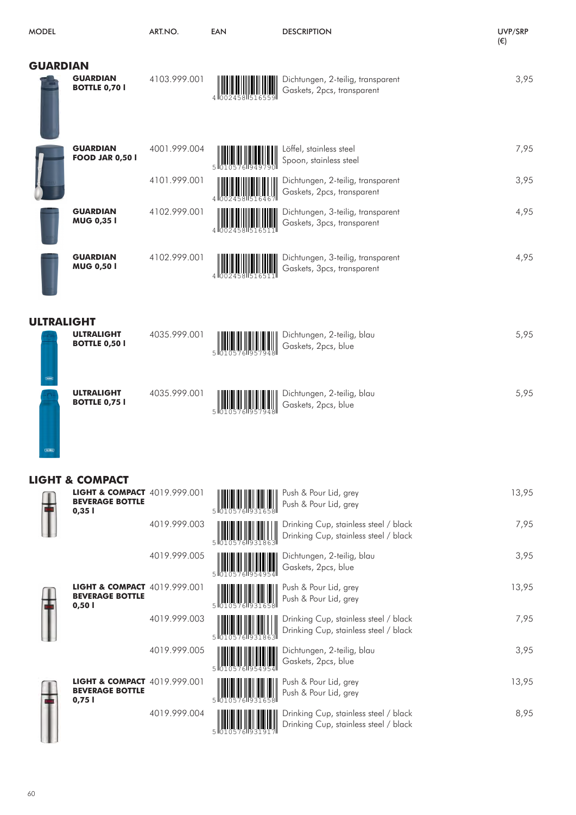| <b>MODEL</b>      |                                                                                                          | ART.NO.      | <b>EAN</b> | <b>DESCRIPTION</b>                                                             | UVP/SRP<br>$(\in)$ |
|-------------------|----------------------------------------------------------------------------------------------------------|--------------|------------|--------------------------------------------------------------------------------|--------------------|
| <b>GUARDIAN</b>   | <b>GUARDIAN</b><br><b>BOTTLE 0,70  </b>                                                                  | 4103.999.001 |            | Dichtungen, 2-teilig, transparent<br>Gaskets, 2pcs, transparent                | 3,95               |
|                   | <b>GUARDIAN</b><br><b>FOOD JAR 0,50  </b>                                                                | 4001.999.004 |            | Löffel, stainless steel<br>Spoon, stainless steel                              | 7,95               |
|                   |                                                                                                          | 4101.999.001 |            | Dichtungen, 2-teilig, transparent<br>Gaskets, 2pcs, transparent                | 3,95               |
|                   | <b>GUARDIAN</b><br>MUG 0,35 I                                                                            | 4102.999.001 |            | Dichtungen, 3-teilig, transparent<br>Gaskets, 3pcs, transparent                | 4,95               |
|                   | <b>GUARDIAN</b><br><b>MUG 0,50 I</b>                                                                     | 4102.999.001 |            | Dichtungen, 3-teilig, transparent<br>Gaskets, 3pcs, transparent                | 4,95               |
| <b>ULTRALIGHT</b> | <b>ULTRALIGHT</b><br><b>BOTTLE 0,50 I</b>                                                                | 4035.999.001 |            | Dichtungen, 2-teilig, blau<br>Gaskets, 2pcs, blue                              | 5,95               |
| THEFMOS           | <b>ULTRALIGHT</b><br><b>BOTTLE 0,75  </b>                                                                | 4035.999.001 |            | Dichtungen, 2-teilig, blau<br>Gaskets, 2pcs, blue                              | 5,95               |
|                   | <b>LIGHT &amp; COMPACT</b><br><b>LIGHT &amp; COMPACT</b> 4019.999.001<br><b>BEVERAGE BOTTLE</b><br>0,351 |              |            | Push & Pour Lid, grey<br>Push & Pour Lid, grey                                 | 13,95              |
|                   |                                                                                                          | 4019.999.003 |            | Drinking Cup, stainless steel / black<br>Drinking Cup, stainless steel / black | 7,95               |
|                   |                                                                                                          | 4019.999.005 |            | Dichtungen, 2-teilig, blau<br>Gaskets, 2pcs, blue                              | 3,95               |
|                   | <b>LIGHT &amp; COMPACT</b> 4019.999.001<br><b>BEVERAGE BOTTLE</b><br>0,501                               |              |            | Push & Pour Lid, grey<br>Push & Pour Lid, grey                                 | 13,95              |
|                   |                                                                                                          | 4019.999.003 |            | Drinking Cup, stainless steel / black<br>Drinking Cup, stainless steel / black | 7,95               |
|                   |                                                                                                          | 4019.999.005 |            | Dichtungen, 2-teilig, blau<br>Gaskets, 2pcs, blue                              | 3,95               |
|                   | LIGHT & COMPACT 4019.999.001<br><b>BEVERAGE BOTTLE</b><br>0,751                                          |              |            | Push & Pour Lid, grey<br>Push & Pour Lid, grey                                 | 13,95              |
|                   |                                                                                                          | 4019.999.004 |            | Drinking Cup, stainless steel / black<br>Drinking Cup, stainless steel / black | 8,95               |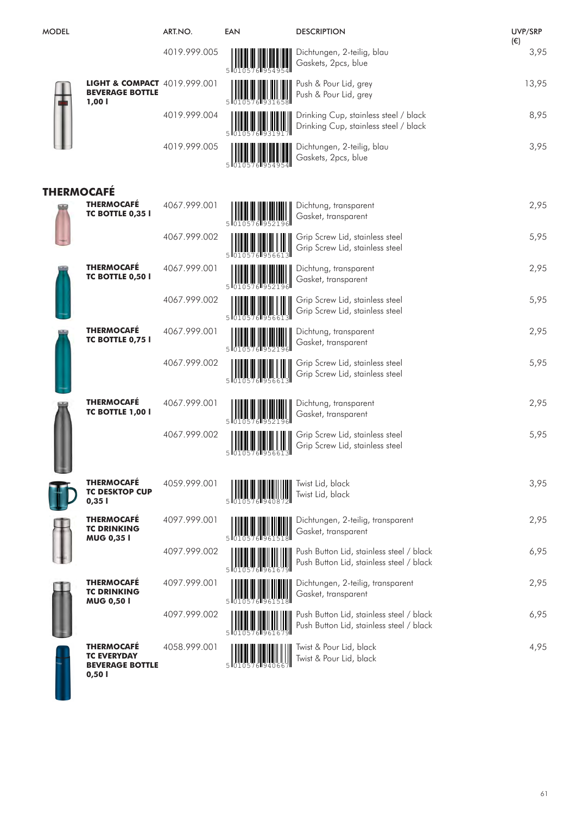| <b>MODEL</b>      |                                                                            | ART.NO.      | <b>EAN</b> | <b>DESCRIPTION</b>                                                                   | UVP/SRP<br>$(\epsilon)$ |
|-------------------|----------------------------------------------------------------------------|--------------|------------|--------------------------------------------------------------------------------------|-------------------------|
|                   |                                                                            | 4019.999.005 |            | Dichtungen, 2-teilig, blau<br>Gaskets, 2pcs, blue                                    | 3,95                    |
|                   | <b>LIGHT &amp; COMPACT</b> 4019.999.001<br><b>BEVERAGE BOTTLE</b><br>1,001 |              |            | Push & Pour Lid, grey<br>Push & Pour Lid, grey                                       | 13,95                   |
|                   |                                                                            | 4019.999.004 |            | Drinking Cup, stainless steel / black<br>Drinking Cup, stainless steel / black       | 8,95                    |
|                   |                                                                            | 4019.999.005 |            | Dichtungen, 2-teilig, blau<br>Gaskets, 2pcs, blue                                    | 3,95                    |
| <b>THERMOCAFÉ</b> |                                                                            |              |            |                                                                                      |                         |
|                   | <b>THERMOCAFE</b><br>TC BOTTLE 0,35 I                                      | 4067.999.001 |            | Dichtung, transparent<br>Gasket, transparent                                         | 2,95                    |
|                   |                                                                            | 4067.999.002 |            | Grip Screw Lid, stainless steel<br>Grip Screw Lid, stainless steel                   | 5,95                    |
|                   | <b>THERMOCAFE</b><br>TC BOTTLE 0,50 I                                      | 4067.999.001 |            | Dichtung, transparent<br>Gasket, transparent                                         | 2,95                    |
|                   |                                                                            | 4067.999.002 |            | Grip Screw Lid, stainless steel<br>Grip Screw Lid, stainless steel                   | 5,95                    |
|                   | <b>THERMOCAFÉ</b><br><b>TC BOTTLE 0,75 I</b>                               | 4067.999.001 |            | Dichtung, transparent<br>Gasket, transparent                                         | 2,95                    |
|                   |                                                                            | 4067.999.002 |            | Grip Screw Lid, stainless steel<br>Grip Screw Lid, stainless steel                   | 5,95                    |
|                   | <b>THERMOCAFÉ</b><br><b>TC BOTTLE 1,00 I</b>                               | 4067.999.001 |            | Dichtung, transparent<br>Gasket, transparent                                         | 2,95                    |
|                   |                                                                            | 4067.999.002 |            | Grip Screw Lid, stainless steel<br>Grip Screw Lid, stainless steel                   | 5,95                    |
|                   | <b>THERMOCAFE</b><br><b>TC DESKTOP CUP</b><br>0,351                        | 4059.999.001 |            | Twist Lid, black<br>Twist Lid, black                                                 | 3,95                    |
|                   | <b>THERMOCAFÉ</b><br><b>TC DRINKING</b><br><b>MUG 0,351</b>                | 4097.999.001 |            | Dichtungen, 2-teilig, transparent<br>Gasket, transparent                             | 2,95                    |
|                   |                                                                            | 4097.999.002 |            | Push Button Lid, stainless steel / black<br>Push Button Lid, stainless steel / black | 6,95                    |
|                   | <b>THERMOCAFÉ</b><br><b>TC DRINKING</b><br><b>MUG 0,50 I</b>               | 4097.999.001 |            | Dichtungen, 2-teilig, transparent<br>Gasket, transparent                             | 2,95                    |
|                   |                                                                            | 4097.999.002 |            | Push Button Lid, stainless steel / black<br>Push Button Lid, stainless steel / black | 6,95                    |
|                   | <b>THERMOCAFE</b><br><b>TC EVERYDAY</b><br><b>BEVERAGE BOTTLE</b><br>0,501 | 4058.999.001 |            | Twist & Pour Lid, black<br>Twist & Pour Lid, black                                   | 4,95                    |

Ш

61